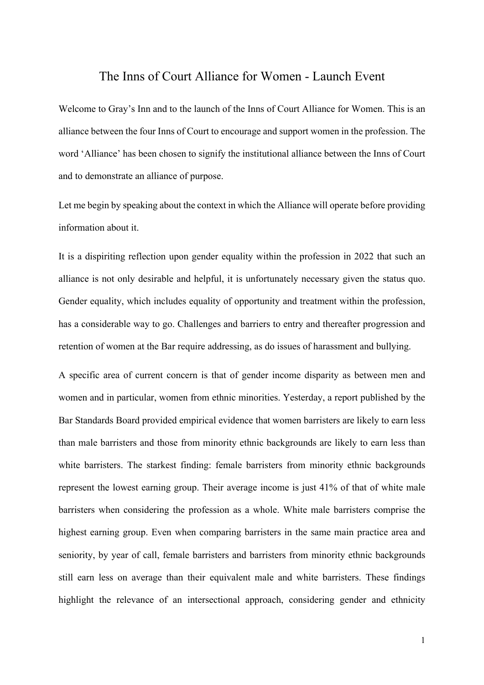## The Inns of Court Alliance for Women - Launch Event

Welcome to Gray's Inn and to the launch of the Inns of Court Alliance for Women. This is an alliance between the four Inns of Court to encourage and support women in the profession. The word 'Alliance' has been chosen to signify the institutional alliance between the Inns of Court and to demonstrate an alliance of purpose.

Let me begin by speaking about the context in which the Alliance will operate before providing information about it.

It is a dispiriting reflection upon gender equality within the profession in 2022 that such an alliance is not only desirable and helpful, it is unfortunately necessary given the status quo. Gender equality, which includes equality of opportunity and treatment within the profession, has a considerable way to go. Challenges and barriers to entry and thereafter progression and retention of women at the Bar require addressing, as do issues of harassment and bullying.

A specific area of current concern is that of gender income disparity as between men and women and in particular, women from ethnic minorities. Yesterday, a report published by the Bar Standards Board provided empirical evidence that women barristers are likely to earn less than male barristers and those from minority ethnic backgrounds are likely to earn less than white barristers. The starkest finding: female barristers from minority ethnic backgrounds represent the lowest earning group. Their average income is just 41% of that of white male barristers when considering the profession as a whole. White male barristers comprise the highest earning group. Even when comparing barristers in the same main practice area and seniority, by year of call, female barristers and barristers from minority ethnic backgrounds still earn less on average than their equivalent male and white barristers. These findings highlight the relevance of an intersectional approach, considering gender and ethnicity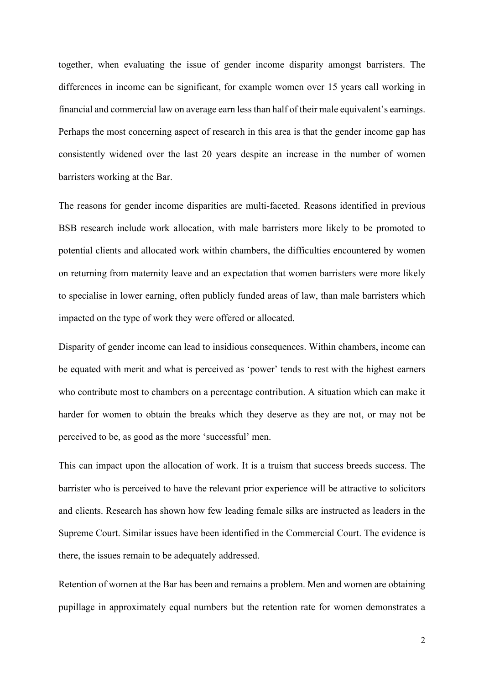together, when evaluating the issue of gender income disparity amongst barristers. The differences in income can be significant, for example women over 15 years call working in financial and commercial law on average earn less than half of their male equivalent's earnings. Perhaps the most concerning aspect of research in this area is that the gender income gap has consistently widened over the last 20 years despite an increase in the number of women barristers working at the Bar.

The reasons for gender income disparities are multi-faceted. Reasons identified in previous BSB research include work allocation, with male barristers more likely to be promoted to potential clients and allocated work within chambers, the difficulties encountered by women on returning from maternity leave and an expectation that women barristers were more likely to specialise in lower earning, often publicly funded areas of law, than male barristers which impacted on the type of work they were offered or allocated.

Disparity of gender income can lead to insidious consequences. Within chambers, income can be equated with merit and what is perceived as 'power' tends to rest with the highest earners who contribute most to chambers on a percentage contribution. A situation which can make it harder for women to obtain the breaks which they deserve as they are not, or may not be perceived to be, as good as the more 'successful' men.

This can impact upon the allocation of work. It is a truism that success breeds success. The barrister who is perceived to have the relevant prior experience will be attractive to solicitors and clients. Research has shown how few leading female silks are instructed as leaders in the Supreme Court. Similar issues have been identified in the Commercial Court. The evidence is there, the issues remain to be adequately addressed.

Retention of women at the Bar has been and remains a problem. Men and women are obtaining pupillage in approximately equal numbers but the retention rate for women demonstrates a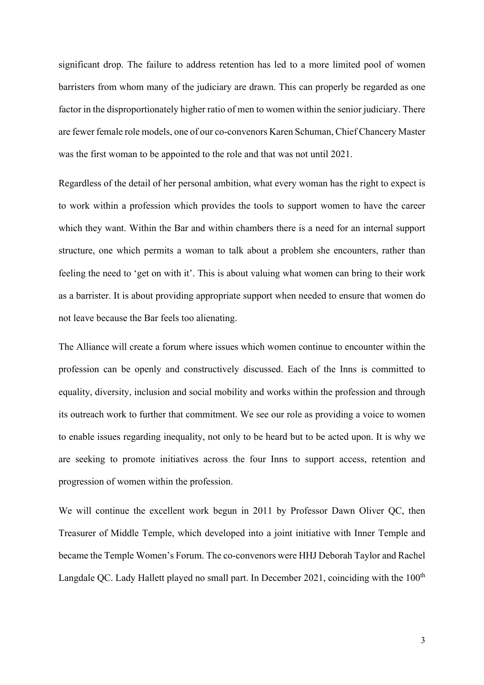significant drop. The failure to address retention has led to a more limited pool of women barristers from whom many of the judiciary are drawn. This can properly be regarded as one factor in the disproportionately higher ratio of men to women within the senior judiciary. There are fewer female role models, one of our co-convenors Karen Schuman, Chief Chancery Master was the first woman to be appointed to the role and that was not until 2021.

Regardless of the detail of her personal ambition, what every woman has the right to expect is to work within a profession which provides the tools to support women to have the career which they want. Within the Bar and within chambers there is a need for an internal support structure, one which permits a woman to talk about a problem she encounters, rather than feeling the need to 'get on with it'. This is about valuing what women can bring to their work as a barrister. It is about providing appropriate support when needed to ensure that women do not leave because the Bar feels too alienating.

The Alliance will create a forum where issues which women continue to encounter within the profession can be openly and constructively discussed. Each of the Inns is committed to equality, diversity, inclusion and social mobility and works within the profession and through its outreach work to further that commitment. We see our role as providing a voice to women to enable issues regarding inequality, not only to be heard but to be acted upon. It is why we are seeking to promote initiatives across the four Inns to support access, retention and progression of women within the profession.

We will continue the excellent work begun in 2011 by Professor Dawn Oliver QC, then Treasurer of Middle Temple, which developed into a joint initiative with Inner Temple and became the Temple Women's Forum. The co-convenors were HHJ Deborah Taylor and Rachel Langdale QC. Lady Hallett played no small part. In December 2021, coinciding with the  $100<sup>th</sup>$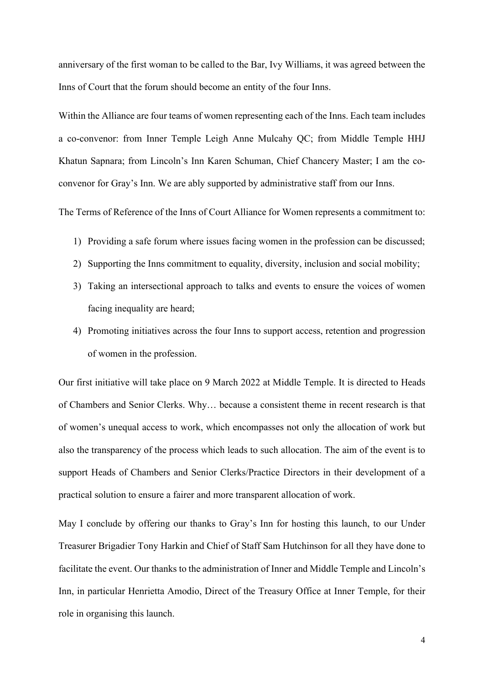anniversary of the first woman to be called to the Bar, Ivy Williams, it was agreed between the Inns of Court that the forum should become an entity of the four Inns.

Within the Alliance are four teams of women representing each of the Inns. Each team includes a co-convenor: from Inner Temple Leigh Anne Mulcahy QC; from Middle Temple HHJ Khatun Sapnara; from Lincoln's Inn Karen Schuman, Chief Chancery Master; I am the coconvenor for Gray's Inn. We are ably supported by administrative staff from our Inns.

The Terms of Reference of the Inns of Court Alliance for Women represents a commitment to:

- 1) Providing a safe forum where issues facing women in the profession can be discussed;
- 2) Supporting the Inns commitment to equality, diversity, inclusion and social mobility;
- 3) Taking an intersectional approach to talks and events to ensure the voices of women facing inequality are heard;
- 4) Promoting initiatives across the four Inns to support access, retention and progression of women in the profession.

Our first initiative will take place on 9 March 2022 at Middle Temple. It is directed to Heads of Chambers and Senior Clerks. Why… because a consistent theme in recent research is that of women's unequal access to work, which encompasses not only the allocation of work but also the transparency of the process which leads to such allocation. The aim of the event is to support Heads of Chambers and Senior Clerks/Practice Directors in their development of a practical solution to ensure a fairer and more transparent allocation of work.

May I conclude by offering our thanks to Gray's Inn for hosting this launch, to our Under Treasurer Brigadier Tony Harkin and Chief of Staff Sam Hutchinson for all they have done to facilitate the event. Our thanks to the administration of Inner and Middle Temple and Lincoln's Inn, in particular Henrietta Amodio, Direct of the Treasury Office at Inner Temple, for their role in organising this launch.